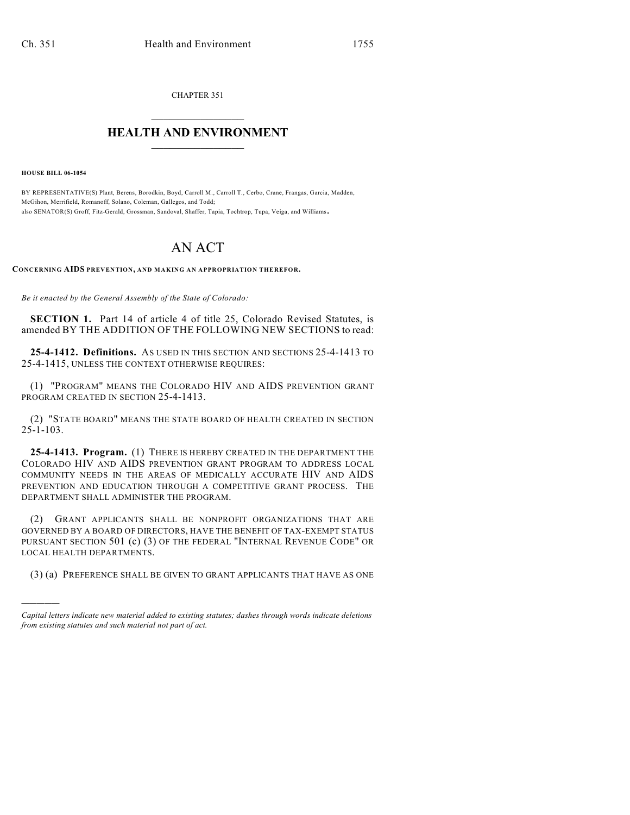CHAPTER 351  $\overline{\phantom{a}}$  . The set of the set of the set of the set of the set of the set of the set of the set of the set of the set of the set of the set of the set of the set of the set of the set of the set of the set of the set o

## **HEALTH AND ENVIRONMENT**  $\_$

**HOUSE BILL 06-1054**

)))))

BY REPRESENTATIVE(S) Plant, Berens, Borodkin, Boyd, Carroll M., Carroll T., Cerbo, Crane, Frangas, Garcia, Madden, McGihon, Merrifield, Romanoff, Solano, Coleman, Gallegos, and Todd; also SENATOR(S) Groff, Fitz-Gerald, Grossman, Sandoval, Shaffer, Tapia, Tochtrop, Tupa, Veiga, and Williams.

## AN ACT

**CONCERNING AIDS PREVENTION, AND MAKING AN APPROPRIATION THEREFOR.**

*Be it enacted by the General Assembly of the State of Colorado:*

**SECTION 1.** Part 14 of article 4 of title 25, Colorado Revised Statutes, is amended BY THE ADDITION OF THE FOLLOWING NEW SECTIONS to read:

**25-4-1412. Definitions.** AS USED IN THIS SECTION AND SECTIONS 25-4-1413 TO 25-4-1415, UNLESS THE CONTEXT OTHERWISE REQUIRES:

(1) "PROGRAM" MEANS THE COLORADO HIV AND AIDS PREVENTION GRANT PROGRAM CREATED IN SECTION 25-4-1413.

(2) "STATE BOARD" MEANS THE STATE BOARD OF HEALTH CREATED IN SECTION 25-1-103.

**25-4-1413. Program.** (1) THERE IS HEREBY CREATED IN THE DEPARTMENT THE COLORADO HIV AND AIDS PREVENTION GRANT PROGRAM TO ADDRESS LOCAL COMMUNITY NEEDS IN THE AREAS OF MEDICALLY ACCURATE HIV AND AIDS PREVENTION AND EDUCATION THROUGH A COMPETITIVE GRANT PROCESS. THE DEPARTMENT SHALL ADMINISTER THE PROGRAM.

(2) GRANT APPLICANTS SHALL BE NONPROFIT ORGANIZATIONS THAT ARE GOVERNED BY A BOARD OF DIRECTORS, HAVE THE BENEFIT OF TAX-EXEMPT STATUS PURSUANT SECTION 501 (c) (3) OF THE FEDERAL "INTERNAL REVENUE CODE" OR LOCAL HEALTH DEPARTMENTS.

(3) (a) PREFERENCE SHALL BE GIVEN TO GRANT APPLICANTS THAT HAVE AS ONE

*Capital letters indicate new material added to existing statutes; dashes through words indicate deletions from existing statutes and such material not part of act.*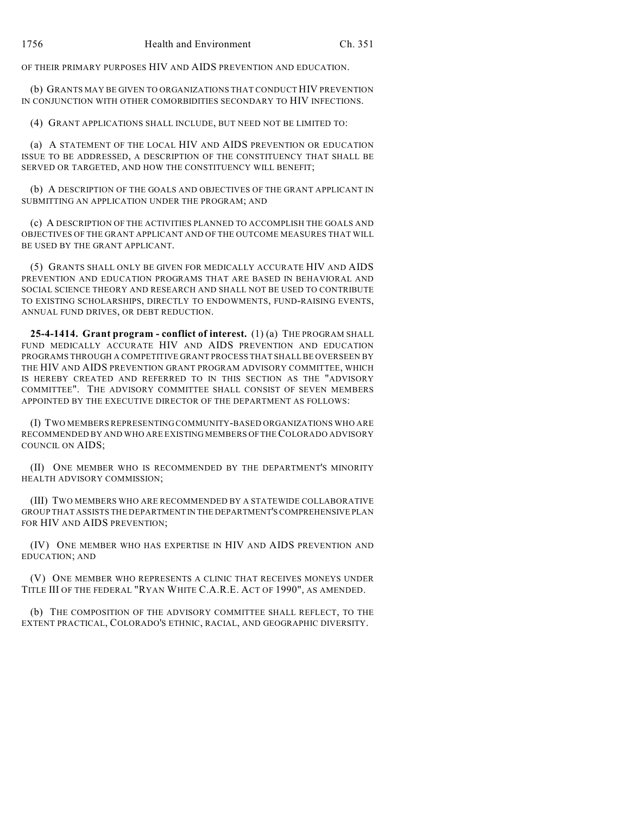OF THEIR PRIMARY PURPOSES HIV AND AIDS PREVENTION AND EDUCATION.

(b) GRANTS MAY BE GIVEN TO ORGANIZATIONS THAT CONDUCT HIV PREVENTION IN CONJUNCTION WITH OTHER COMORBIDITIES SECONDARY TO HIV INFECTIONS.

(4) GRANT APPLICATIONS SHALL INCLUDE, BUT NEED NOT BE LIMITED TO:

(a) A STATEMENT OF THE LOCAL HIV AND AIDS PREVENTION OR EDUCATION ISSUE TO BE ADDRESSED, A DESCRIPTION OF THE CONSTITUENCY THAT SHALL BE SERVED OR TARGETED, AND HOW THE CONSTITUENCY WILL BENEFIT;

(b) A DESCRIPTION OF THE GOALS AND OBJECTIVES OF THE GRANT APPLICANT IN SUBMITTING AN APPLICATION UNDER THE PROGRAM; AND

(c) A DESCRIPTION OF THE ACTIVITIES PLANNED TO ACCOMPLISH THE GOALS AND OBJECTIVES OF THE GRANT APPLICANT AND OF THE OUTCOME MEASURES THAT WILL BE USED BY THE GRANT APPLICANT.

(5) GRANTS SHALL ONLY BE GIVEN FOR MEDICALLY ACCURATE HIV AND AIDS PREVENTION AND EDUCATION PROGRAMS THAT ARE BASED IN BEHAVIORAL AND SOCIAL SCIENCE THEORY AND RESEARCH AND SHALL NOT BE USED TO CONTRIBUTE TO EXISTING SCHOLARSHIPS, DIRECTLY TO ENDOWMENTS, FUND-RAISING EVENTS, ANNUAL FUND DRIVES, OR DEBT REDUCTION.

**25-4-1414. Grant program - conflict of interest.** (1) (a) THE PROGRAM SHALL FUND MEDICALLY ACCURATE HIV AND AIDS PREVENTION AND EDUCATION PROGRAMS THROUGH A COMPETITIVE GRANT PROCESS THAT SHALL BE OVERSEEN BY THE HIV AND AIDS PREVENTION GRANT PROGRAM ADVISORY COMMITTEE, WHICH IS HEREBY CREATED AND REFERRED TO IN THIS SECTION AS THE "ADVISORY COMMITTEE". THE ADVISORY COMMITTEE SHALL CONSIST OF SEVEN MEMBERS APPOINTED BY THE EXECUTIVE DIRECTOR OF THE DEPARTMENT AS FOLLOWS:

(I) TWO MEMBERS REPRESENTING COMMUNITY-BASED ORGANIZATIONS WHO ARE RECOMMENDED BY AND WHO ARE EXISTING MEMBERS OF THE COLORADO ADVISORY COUNCIL ON AIDS;

(II) ONE MEMBER WHO IS RECOMMENDED BY THE DEPARTMENT'S MINORITY HEALTH ADVISORY COMMISSION;

(III) TWO MEMBERS WHO ARE RECOMMENDED BY A STATEWIDE COLLABORATIVE GROUP THAT ASSISTS THE DEPARTMENT IN THE DEPARTMENT'S COMPREHENSIVE PLAN FOR HIV AND AIDS PREVENTION;

(IV) ONE MEMBER WHO HAS EXPERTISE IN HIV AND AIDS PREVENTION AND EDUCATION; AND

(V) ONE MEMBER WHO REPRESENTS A CLINIC THAT RECEIVES MONEYS UNDER TITLE III OF THE FEDERAL "RYAN WHITE C.A.R.E. ACT OF 1990", AS AMENDED.

(b) THE COMPOSITION OF THE ADVISORY COMMITTEE SHALL REFLECT, TO THE EXTENT PRACTICAL, COLORADO'S ETHNIC, RACIAL, AND GEOGRAPHIC DIVERSITY.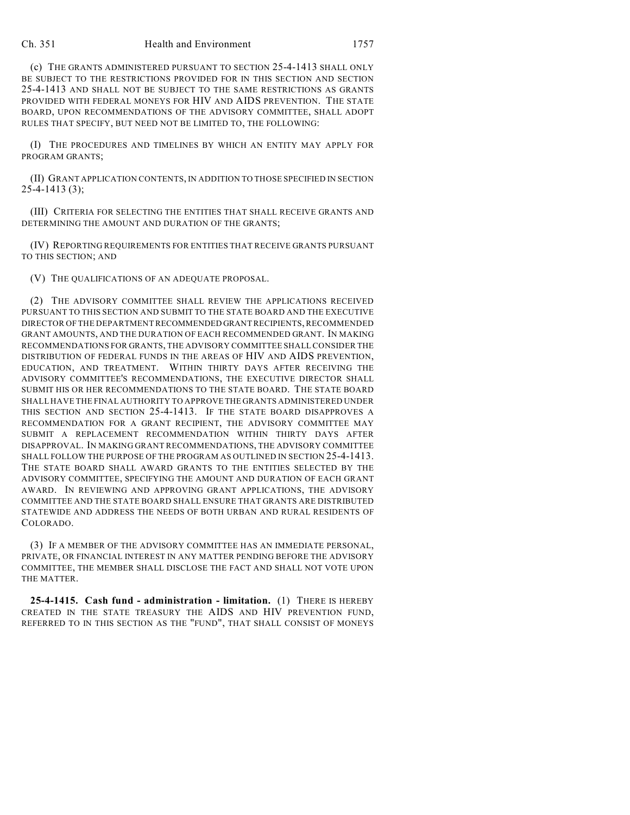(c) THE GRANTS ADMINISTERED PURSUANT TO SECTION 25-4-1413 SHALL ONLY BE SUBJECT TO THE RESTRICTIONS PROVIDED FOR IN THIS SECTION AND SECTION 25-4-1413 AND SHALL NOT BE SUBJECT TO THE SAME RESTRICTIONS AS GRANTS PROVIDED WITH FEDERAL MONEYS FOR HIV AND AIDS PREVENTION. THE STATE BOARD, UPON RECOMMENDATIONS OF THE ADVISORY COMMITTEE, SHALL ADOPT RULES THAT SPECIFY, BUT NEED NOT BE LIMITED TO, THE FOLLOWING:

(I) THE PROCEDURES AND TIMELINES BY WHICH AN ENTITY MAY APPLY FOR PROGRAM GRANTS;

(II) GRANT APPLICATION CONTENTS, IN ADDITION TO THOSE SPECIFIED IN SECTION 25-4-1413 (3);

(III) CRITERIA FOR SELECTING THE ENTITIES THAT SHALL RECEIVE GRANTS AND DETERMINING THE AMOUNT AND DURATION OF THE GRANTS;

(IV) REPORTING REQUIREMENTS FOR ENTITIES THAT RECEIVE GRANTS PURSUANT TO THIS SECTION; AND

(V) THE QUALIFICATIONS OF AN ADEQUATE PROPOSAL.

(2) THE ADVISORY COMMITTEE SHALL REVIEW THE APPLICATIONS RECEIVED PURSUANT TO THIS SECTION AND SUBMIT TO THE STATE BOARD AND THE EXECUTIVE DIRECTOR OF THE DEPARTMENT RECOMMENDED GRANT RECIPIENTS, RECOMMENDED GRANT AMOUNTS, AND THE DURATION OF EACH RECOMMENDED GRANT. IN MAKING RECOMMENDATIONS FOR GRANTS, THE ADVISORY COMMITTEE SHALL CONSIDER THE DISTRIBUTION OF FEDERAL FUNDS IN THE AREAS OF HIV AND AIDS PREVENTION, EDUCATION, AND TREATMENT. WITHIN THIRTY DAYS AFTER RECEIVING THE ADVISORY COMMITTEE'S RECOMMENDATIONS, THE EXECUTIVE DIRECTOR SHALL SUBMIT HIS OR HER RECOMMENDATIONS TO THE STATE BOARD. THE STATE BOARD SHALL HAVE THE FINAL AUTHORITY TO APPROVE THE GRANTS ADMINISTERED UNDER THIS SECTION AND SECTION 25-4-1413. IF THE STATE BOARD DISAPPROVES A RECOMMENDATION FOR A GRANT RECIPIENT, THE ADVISORY COMMITTEE MAY SUBMIT A REPLACEMENT RECOMMENDATION WITHIN THIRTY DAYS AFTER DISAPPROVAL. IN MAKING GRANT RECOMMENDATIONS, THE ADVISORY COMMITTEE SHALL FOLLOW THE PURPOSE OF THE PROGRAM AS OUTLINED IN SECTION 25-4-1413. THE STATE BOARD SHALL AWARD GRANTS TO THE ENTITIES SELECTED BY THE ADVISORY COMMITTEE, SPECIFYING THE AMOUNT AND DURATION OF EACH GRANT AWARD. IN REVIEWING AND APPROVING GRANT APPLICATIONS, THE ADVISORY COMMITTEE AND THE STATE BOARD SHALL ENSURE THAT GRANTS ARE DISTRIBUTED STATEWIDE AND ADDRESS THE NEEDS OF BOTH URBAN AND RURAL RESIDENTS OF COLORADO.

(3) IF A MEMBER OF THE ADVISORY COMMITTEE HAS AN IMMEDIATE PERSONAL, PRIVATE, OR FINANCIAL INTEREST IN ANY MATTER PENDING BEFORE THE ADVISORY COMMITTEE, THE MEMBER SHALL DISCLOSE THE FACT AND SHALL NOT VOTE UPON THE MATTER.

**25-4-1415. Cash fund - administration - limitation.** (1) THERE IS HEREBY CREATED IN THE STATE TREASURY THE AIDS AND HIV PREVENTION FUND, REFERRED TO IN THIS SECTION AS THE "FUND", THAT SHALL CONSIST OF MONEYS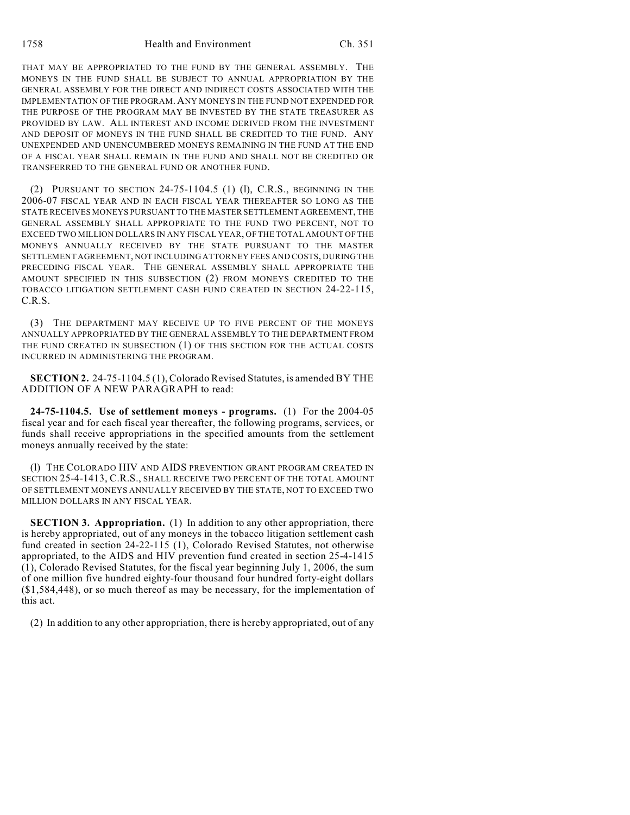THAT MAY BE APPROPRIATED TO THE FUND BY THE GENERAL ASSEMBLY. THE MONEYS IN THE FUND SHALL BE SUBJECT TO ANNUAL APPROPRIATION BY THE GENERAL ASSEMBLY FOR THE DIRECT AND INDIRECT COSTS ASSOCIATED WITH THE IMPLEMENTATION OF THE PROGRAM. ANY MONEYS IN THE FUND NOT EXPENDED FOR THE PURPOSE OF THE PROGRAM MAY BE INVESTED BY THE STATE TREASURER AS PROVIDED BY LAW. ALL INTEREST AND INCOME DERIVED FROM THE INVESTMENT AND DEPOSIT OF MONEYS IN THE FUND SHALL BE CREDITED TO THE FUND. ANY UNEXPENDED AND UNENCUMBERED MONEYS REMAINING IN THE FUND AT THE END OF A FISCAL YEAR SHALL REMAIN IN THE FUND AND SHALL NOT BE CREDITED OR TRANSFERRED TO THE GENERAL FUND OR ANOTHER FUND.

(2) PURSUANT TO SECTION  $24-75-1104.5$  (1) (1), C.R.S., BEGINNING IN THE 2006-07 FISCAL YEAR AND IN EACH FISCAL YEAR THEREAFTER SO LONG AS THE STATE RECEIVES MONEYS PURSUANT TO THE MASTER SETTLEMENT AGREEMENT, THE GENERAL ASSEMBLY SHALL APPROPRIATE TO THE FUND TWO PERCENT, NOT TO EXCEED TWO MILLION DOLLARS IN ANY FISCAL YEAR, OF THE TOTAL AMOUNT OF THE MONEYS ANNUALLY RECEIVED BY THE STATE PURSUANT TO THE MASTER SETTLEMENT AGREEMENT, NOT INCLUDING ATTORNEY FEES AND COSTS, DURING THE PRECEDING FISCAL YEAR. THE GENERAL ASSEMBLY SHALL APPROPRIATE THE AMOUNT SPECIFIED IN THIS SUBSECTION (2) FROM MONEYS CREDITED TO THE TOBACCO LITIGATION SETTLEMENT CASH FUND CREATED IN SECTION 24-22-115, C.R.S.

(3) THE DEPARTMENT MAY RECEIVE UP TO FIVE PERCENT OF THE MONEYS ANNUALLY APPROPRIATED BY THE GENERAL ASSEMBLY TO THE DEPARTMENT FROM THE FUND CREATED IN SUBSECTION (1) OF THIS SECTION FOR THE ACTUAL COSTS INCURRED IN ADMINISTERING THE PROGRAM.

**SECTION 2.** 24-75-1104.5 (1), Colorado Revised Statutes, is amended BY THE ADDITION OF A NEW PARAGRAPH to read:

**24-75-1104.5. Use of settlement moneys - programs.** (1) For the 2004-05 fiscal year and for each fiscal year thereafter, the following programs, services, or funds shall receive appropriations in the specified amounts from the settlement moneys annually received by the state:

(l) THE COLORADO HIV AND AIDS PREVENTION GRANT PROGRAM CREATED IN SECTION 25-4-1413, C.R.S., SHALL RECEIVE TWO PERCENT OF THE TOTAL AMOUNT OF SETTLEMENT MONEYS ANNUALLY RECEIVED BY THE STATE, NOT TO EXCEED TWO MILLION DOLLARS IN ANY FISCAL YEAR.

**SECTION 3. Appropriation.** (1) In addition to any other appropriation, there is hereby appropriated, out of any moneys in the tobacco litigation settlement cash fund created in section 24-22-115 (1), Colorado Revised Statutes, not otherwise appropriated, to the AIDS and HIV prevention fund created in section 25-4-1415 (1), Colorado Revised Statutes, for the fiscal year beginning July 1, 2006, the sum of one million five hundred eighty-four thousand four hundred forty-eight dollars (\$1,584,448), or so much thereof as may be necessary, for the implementation of this act.

(2) In addition to any other appropriation, there is hereby appropriated, out of any